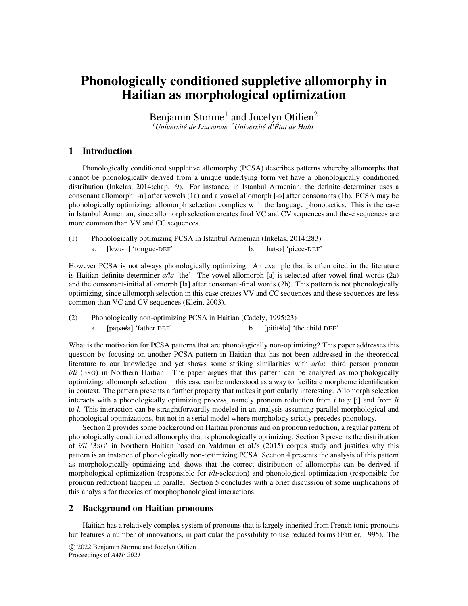# Phonologically conditioned suppletive allomorphy in Haitian as morphological optimization

Benjamin Storme<sup>1</sup> and Jocelyn Otilien<sup>2</sup> *<sup>1</sup>Universite de Lausanne, ´ <sup>2</sup>Universite d' ´ Etat de Ha ´ ¨ıti*

## 1 Introduction

Phonologically conditioned suppletive allomorphy (PCSA) describes patterns whereby allomorphs that cannot be phonologically derived from a unique underlying form yet have a phonologically conditioned distribution (Inkelas, 2014:chap. 9). For instance, in Istanbul Armenian, the definite determiner uses a consonant allomorph  $[-n]$  after vowels  $(1a)$  and a vowel allomorph  $[-q]$  after consonants  $(1b)$ . PCSA may be phonologically optimizing: allomorph selection complies with the language phonotactics. This is the case in Istanbul Armenian, since allomorph selection creates final VC and CV sequences and these sequences are more common than VV and CC sequences.

(1) Phonologically optimizing PCSA in Istanbul Armenian (Inkelas, 2014:283) a. [lezu-n] 'tongue-DEF' b. [hat-@] 'piece-DEF'

However PCSA is not always phonologically optimizing. An example that is often cited in the literature is Haitian definite determiner *a/la* 'the'. The vowel allomorph [a] is selected after vowel-final words (2a) and the consonant-initial allomorph [la] after consonant-final words (2b). This pattern is not phonologically optimizing, since allomorph selection in this case creates VV and CC sequences and these sequences are less common than VC and CV sequences (Klein, 2003).

(2) Phonologically non-optimizing PCSA in Haitian (Cadely, 1995:23) a. [papa#a] 'father DEF' b. [pitit#la] 'the child DEF'

What is the motivation for PCSA patterns that are phonologically non-optimizing? This paper addresses this question by focusing on another PCSA pattern in Haitian that has not been addressed in the theoretical literature to our knowledge and yet shows some striking similarities with *a/la*: third person pronoun *i/li* (3SG) in Northern Haitian. The paper argues that this pattern can be analyzed as morphologically optimizing: allomorph selection in this case can be understood as a way to facilitate morpheme identification in context. The pattern presents a further property that makes it particularly interesting. Allomorph selection interacts with a phonologically optimizing process, namely pronoun reduction from *i* to *y* [j] and from *li* to *l*. This interaction can be straightforwardly modeled in an analysis assuming parallel morphological and phonological optimizations, but not in a serial model where morphology strictly precedes phonology.

Section 2 provides some background on Haitian pronouns and on pronoun reduction, a regular pattern of phonologically conditioned allomorphy that is phonologically optimizing. Section 3 presents the distribution of *i/li* '3SG' in Northern Haitian based on Valdman et al.'s (2015) corpus study and justifies why this pattern is an instance of phonologically non-optimizing PCSA. Section 4 presents the analysis of this pattern as morphologically optimizing and shows that the correct distribution of allomorphs can be derived if morphological optimization (responsible for *i/li*-selection) and phonological optimization (responsible for pronoun reduction) happen in parallel. Section 5 concludes with a brief discussion of some implications of this analysis for theories of morphophonological interactions.

#### 2 Background on Haitian pronouns

Haitian has a relatively complex system of pronouns that is largely inherited from French tonic pronouns but features a number of innovations, in particular the possibility to use reduced forms (Fattier, 1995). The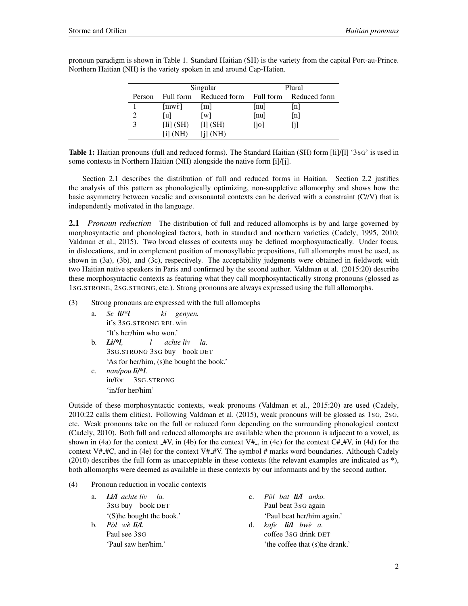|        |                        | Singular          | Plural                    |                   |  |
|--------|------------------------|-------------------|---------------------------|-------------------|--|
| Person | Full form              | Reduced form      | Full form                 | Reduced form      |  |
|        | $[mw\tilde{\epsilon}]$ | m                 | $\lceil \text{nu} \rceil$ | $\lceil n \rceil$ |  |
|        | [u]                    | $\lceil w \rceil$ | $\lceil \text{nu} \rceil$ | [n]               |  |
|        | [1i] (SH)              | $[1]$ $(SH)$      | [jo]                      |                   |  |
|        | $\overline{[i]}$ (NH)  | [i] (NH)          |                           |                   |  |

pronoun paradigm is shown in Table 1. Standard Haitian (SH) is the variety from the capital Port-au-Prince. Northern Haitian (NH) is the variety spoken in and around Cap-Hatien.

Table 1: Haitian pronouns (full and reduced forms). The Standard Haitian (SH) form [li]/[l] '3SG' is used in some contexts in Northern Haitian (NH) alongside the native form [i]/[j].

Section 2.1 describes the distribution of full and reduced forms in Haitian. Section 2.2 justifies the analysis of this pattern as phonologically optimizing, non-suppletive allomorphy and shows how the basic asymmetry between vocalic and consonantal contexts can be derived with a constraint (C//V) that is independently motivated in the language.

2.1 *Pronoun reduction* The distribution of full and reduced allomorphs is by and large governed by morphosyntactic and phonological factors, both in standard and northern varieties (Cadely, 1995, 2010; Valdman et al., 2015). Two broad classes of contexts may be defined morphosyntactically. Under focus, in dislocations, and in complement position of monosyllabic prepositions, full allomorphs must be used, as shown in (3a), (3b), and (3c), respectively. The acceptability judgments were obtained in fieldwork with two Haitian native speakers in Paris and confirmed by the second author. Valdman et al. (2015:20) describe these morphosyntactic contexts as featuring what they call morphosyntactically strong pronouns (glossed as 1SG.STRONG, 2SG.STRONG, etc.). Strong pronouns are always expressed using the full allomorphs.

(3) Strong pronouns are expressed with the full allomorphs

- a. *Se li/\*l* it's 3SG.STRONG REL win *ki genyen.* 'It's her/him who won.'
- b. *Li/\*l,* 3SG.STRONG 3SG buy book DET *l achte liv la.* 'As for her/him, (s)he bought the book.'
- c. *nan/pou li/\*l.* in/for 3SG.STRONG 'in/for her/him'

Outside of these morphosyntactic contexts, weak pronouns (Valdman et al., 2015:20) are used (Cadely, 2010:22 calls them clitics). Following Valdman et al. (2015), weak pronouns will be glossed as 1SG, 2SG, etc. Weak pronouns take on the full or reduced form depending on the surrounding phonological context (Cadely, 2010). Both full and reduced allomorphs are available when the pronoun is adjacent to a vowel, as shown in (4a) for the context  $\pm W$ , in (4b) for the context V#<sub>-</sub>, in (4c) for the context C# $\pm W$ , in (4d) for the context V#  $#C$ , and in (4e) for the context V#  $#V$ . The symbol # marks word boundaries. Although Cadely  $(2010)$  describes the full form as unacceptable in these contexts (the relevant examples are indicated as  $*$ ), both allomorphs were deemed as available in these contexts by our informants and by the second author.

(4) Pronoun reduction in vocalic contexts

| a.      | $Li/l$ achte liv la.      |    | c. Pòl bat $\mathbf{i}$ /l anko. |
|---------|---------------------------|----|----------------------------------|
|         | 3sG buy book DET          |    | Paul beat 3sG again              |
|         | '(S) he bought the book.' |    | 'Paul beat her/him again.'       |
| $h_{-}$ | $P\delta l$ wè li $l$ .   | d. | kafe <b>li/l</b> bwè a.          |
|         | Paul see 3sG              |    | coffee 3sG drink DET             |
|         | 'Paul saw her/him.'       |    | 'the coffee that (s) he drank.'  |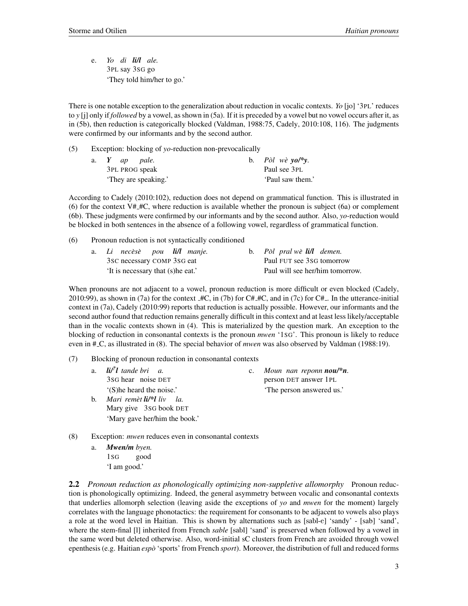e. *Yo di li/l ale.* 3PL say 3SG go 'They told him/her to go.'

There is one notable exception to the generalization about reduction in vocalic contexts. *Yo* [jo] '3PL' reduces to *y* [j] only if *followed* by a vowel, as shown in (5a). If it is preceded by a vowel but no vowel occurs after it, as in (5b), then reduction is categorically blocked (Valdman, 1988:75, Cadely, 2010:108, 116). The judgments were confirmed by our informants and by the second author.

| (5) |  | Exception: blocking of yo-reduction non-prevocalically |
|-----|--|--------------------------------------------------------|
|     |  |                                                        |

| a. $Y$ ap pale.      | b. Pòl wè yo/*y. |  |
|----------------------|------------------|--|
| 3PL PROG speak       | Paul see 3PL     |  |
| 'They are speaking.' | 'Paul saw them.' |  |

According to Cadely (2010:102), reduction does not depend on grammatical function. This is illustrated in (6) for the context V#  $#C$ , where reduction is available whether the pronoun is subject (6a) or complement (6b). These judgments were confirmed by our informants and by the second author. Also, *yo*-reduction would be blocked in both sentences in the absence of a following vowel, regardless of grammatical function.

(6) Pronoun reduction is not syntactically conditioned

|  | a. Li necèsè pou li/l manje.      |  |  | b. Pòl pral wè li/l demen. |                                 |
|--|-----------------------------------|--|--|----------------------------|---------------------------------|
|  | 3sc necessary COMP 3sG eat        |  |  | Paul FUT see 3sG tomorrow  |                                 |
|  | It is necessary that (s) he eat.' |  |  |                            | Paul will see her/him tomorrow. |

When pronouns are not adjacent to a vowel, pronoun reduction is more difficult or even blocked (Cadely, 2010:99), as shown in (7a) for the context  $\text{H\textsc{C}}$ , in (7b) for C# $\text{H\textsc{C}}$ , and in (7c) for C# $\text{L}$ . In the utterance-initial context in (7a), Cadely (2010:99) reports that reduction is actually possible. However, our informants and the second author found that reduction remains generally difficult in this context and at least less likely/acceptable than in the vocalic contexts shown in (4). This is materialized by the question mark. An exception to the blocking of reduction in consonantal contexts is the pronoun *mwen* '1SG'. This pronoun is likely to reduce even in # C, as illustrated in (8). The special behavior of *mwen* was also observed by Valdman (1988:19).

(7) Blocking of pronoun reduction in consonantal contexts

| a.             | $\mathbf{li}/l$ tande bri a.  | c. Moun nan reponn <b>nou/*n</b> . |
|----------------|-------------------------------|------------------------------------|
|                | 3sG hear noise DET            | person DET answer 1PL              |
|                | '(S) he heard the noise.'     | 'The person answered us.'          |
| $\mathbf{b}$ . | Mari remèt li/*l liv la.      |                                    |
|                | Mary give 3sG book DET        |                                    |
|                | 'Mary gave her/him the book.' |                                    |
|                |                               |                                    |

- (8) Exception: *mwen* reduces even in consonantal contexts
	- a. *Mwen/m byen.* 1SG good 'I am good.'

2.2 *Pronoun reduction as phonologically optimizing non-suppletive allomorphy* Pronoun reduction is phonologically optimizing. Indeed, the general asymmetry between vocalic and consonantal contexts that underlies allomorph selection (leaving aside the exceptions of *yo* and *mwen* for the moment) largely correlates with the language phonotactics: the requirement for consonants to be adjacent to vowels also plays a role at the word level in Haitian. This is shown by alternations such as [sabl-e] 'sandy' - [sab] 'sand', where the stem-final [l] inherited from French *sable* [sabl] 'sand' is preserved when followed by a vowel in the same word but deleted otherwise. Also, word-initial sC clusters from French are avoided through vowel epenthesis (e.g. Haitian *espo`* 'sports' from French *sport*). Moreover, the distribution of full and reduced forms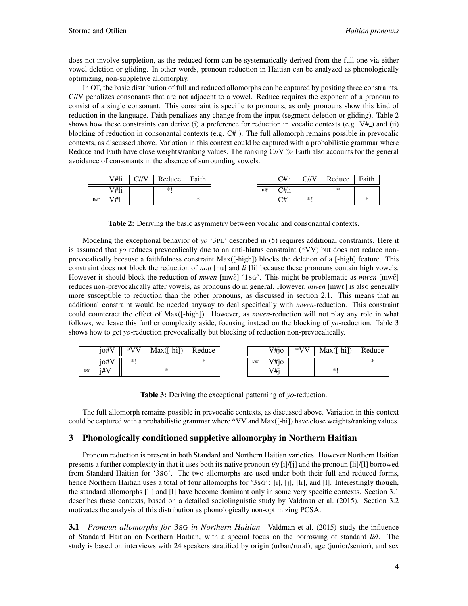does not involve suppletion, as the reduced form can be systematically derived from the full one via either vowel deletion or gliding. In other words, pronoun reduction in Haitian can be analyzed as phonologically optimizing, non-suppletive allomorphy.

In OT, the basic distribution of full and reduced allomorphs can be captured by positing three constraints. C//V penalizes consonants that are not adjacent to a vowel. Reduce requires the exponent of a pronoun to consist of a single consonant. This constraint is specific to pronouns, as only pronouns show this kind of reduction in the language. Faith penalizes any change from the input (segment deletion or gliding). Table 2 shows how these constraints can derive (i) a preference for reduction in vocalic contexts (e.g.  $V#$ ) and (ii) blocking of reduction in consonantal contexts (e.g.  $C#$ ). The full allomorph remains possible in prevocalic contexts, as discussed above. Variation in this context could be captured with a probabilistic grammar where Reduce and Faith have close weights/ranking values. The ranking  $C/N \gg$  Faith also accounts for the general avoidance of consonants in the absence of surrounding vowels.

| V#li | 7.103 | Reduce | Faith |
|------|-------|--------|-------|
|      |       | ste.   |       |
|      |       |        |       |
|      |       |        | ∗     |
|      |       |        |       |

Table 2: Deriving the basic asymmetry between vocalic and consonantal contexts.

Modeling the exceptional behavior of *yo* '3PL' described in (5) requires additional constraints. Here it is assumed that *yo* reduces prevocalically due to an anti-hiatus constraint (\*VV) but does not reduce nonprevocalically because a faithfulness constraint Max([-high]) blocks the deletion of a [-high] feature. This constraint does not block the reduction of *nou* [nu] and *li* [li] because these pronouns contain high vowels. However it should block the reduction of *mwen* [mw $\tilde{e}$ ] '1sG'. This might be problematic as *mwen* [mw $\tilde{e}$ ] reduces non-prevocalically after vowels, as pronouns do in general. However, *mwen* [mw˜E] is also generally more susceptible to reduction than the other pronouns, as discussed in section 2.1. This means that an additional constraint would be needed anyway to deal specifically with *mwen*-reduction. This constraint could counteract the effect of Max([-high]). However, as *mwen*-reduction will not play any role in what follows, we leave this further complexity aside, focusing instead on the blocking of *yo*-reduction. Table 3 shows how to get *yo*-reduction prevocalically but blocking of reduction non-prevocalically.

|     | $i0$ #V | $*VV$       | $Max([-hi])$ | Reduce |   | V#io | $*VV$ | $Max([-hi])$ | Reduce |
|-----|---------|-------------|--------------|--------|---|------|-------|--------------|--------|
|     | 10#V    | المالد<br>÷ |              |        | 眨 | V#jo |       |              |        |
| r f | i#V     |             |              |        |   | V#i  |       | $\ast$       |        |

Table 3: Deriving the exceptional patterning of *yo*-reduction.

The full allomorph remains possible in prevocalic contexts, as discussed above. Variation in this context could be captured with a probabilistic grammar where \*VV and Max([-hi]) have close weights/ranking values.

# 3 Phonologically conditioned suppletive allomorphy in Northern Haitian

Pronoun reduction is present in both Standard and Northern Haitian varieties. However Northern Haitian presents a further complexity in that it uses both its native pronoun *i/y* [i]/[j] and the pronoun [li]/[l] borrowed from Standard Haitian for '3SG'. The two allomorphs are used under both their full and reduced forms, hence Northern Haitian uses a total of four allomorphs for '3sG': [i], [i], [i], [i], and [1]. Interestingly though, the standard allomorphs [li] and [l] have become dominant only in some very specific contexts. Section 3.1 describes these contexts, based on a detailed sociolinguistic study by Valdman et al. (2015). Section 3.2 motivates the analysis of this distribution as phonologically non-optimizing PCSA.

3.1 *Pronoun allomorphs for* 3SG *in Northern Haitian* Valdman et al. (2015) study the influence of Standard Haitian on Northern Haitian, with a special focus on the borrowing of standard *li/l*. The study is based on interviews with 24 speakers stratified by origin (urban/rural), age (junior/senior), and sex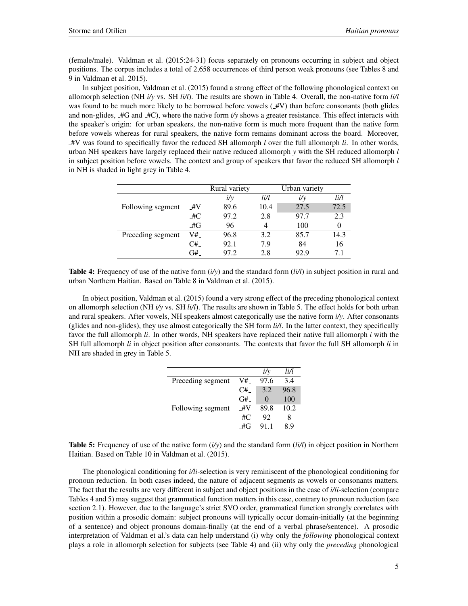(female/male). Valdman et al. (2015:24-31) focus separately on pronouns occurring in subject and object positions. The corpus includes a total of 2,658 occurrences of third person weak pronouns (see Tables 8 and 9 in Valdman et al. 2015).

In subject position, Valdman et al. (2015) found a strong effect of the following phonological context on allomorph selection (NH *i/y* vs. SH *li/l*). The results are shown in Table 4. Overall, the non-native form *li/l* was found to be much more likely to be borrowed before vowels  $(\pm V)$  than before consonants (both glides and non-glides,  $\angle A/G$  and  $\angle A/C$ ), where the native form  $i/y$  shows a greater resistance. This effect interacts with the speaker's origin: for urban speakers, the non-native form is much more frequent than the native form before vowels whereas for rural speakers, the native form remains dominant across the board. Moreover, #V was found to specifically favor the reduced SH allomorph *l* over the full allomorph *li*. In other words, urban NH speakers have largely replaced their native reduced allomorph *y* with the SH reduced allomorph *l* in subject position before vowels. The context and group of speakers that favor the reduced SH allomorph *l* in NH is shaded in light grey in Table 4.

|                   |     | Rural variety |      | Urban variety |      |
|-------------------|-----|---------------|------|---------------|------|
|                   |     | $i/\nu$       | li/l | $i/\nu$       | liЛ  |
| Following segment | #V  | 89.6          | 10.4 | 27.5          | 72.5 |
|                   | _#C | 97.2          | 2.8  | 97.7          | 2.3  |
|                   | _#G | 96            |      | 100           |      |
| Preceding segment | V#_ | 96.8          | 3.2  | 85.7          | 14.3 |
|                   | C#  | 92.1          | 7.9  | 84            | 16   |
|                   | G#  | 97.2          | 2.8  | 92.9          |      |

Table 4: Frequency of use of the native form (*i/y*) and the standard form (*li/l*) in subject position in rural and urban Northern Haitian. Based on Table 8 in Valdman et al. (2015).

In object position, Valdman et al. (2015) found a very strong effect of the preceding phonological context on allomorph selection (NH *i/y* vs. SH *li/l*). The results are shown in Table 5. The effect holds for both urban and rural speakers. After vowels, NH speakers almost categorically use the native form *i/y*. After consonants (glides and non-glides), they use almost categorically the SH form *li/l*. In the latter context, they specifically favor the full allomorph *li*. In other words, NH speakers have replaced their native full allomorph *i* with the SH full allomorph *li* in object position after consonants. The contexts that favor the full SH allomorph *li* in NH are shaded in grey in Table 5.

|                   |    | $i/\nu$  | liЛ  |
|-------------------|----|----------|------|
| Preceding segment | V# | 97.6     | 34   |
|                   | C# | 3.2      | 96.8 |
|                   | G# | $\Omega$ | 100  |
| Following segment | #V | 89.8     | 10.2 |
|                   | #C | 92       | 8    |
|                   | #G | 91.1     | 89   |

Table 5: Frequency of use of the native form (*i/y*) and the standard form (*li/l*) in object position in Northern Haitian. Based on Table 10 in Valdman et al. (2015).

The phonological conditioning for *i/li*-selection is very reminiscent of the phonological conditioning for pronoun reduction. In both cases indeed, the nature of adjacent segments as vowels or consonants matters. The fact that the results are very different in subject and object positions in the case of *i/li*-selection (compare Tables 4 and 5) may suggest that grammatical function matters in this case, contrary to pronoun reduction (see section 2.1). However, due to the language's strict SVO order, grammatical function strongly correlates with position within a prosodic domain: subject pronouns will typically occur domain-initially (at the beginning of a sentence) and object pronouns domain-finally (at the end of a verbal phrase/sentence). A prosodic interpretation of Valdman et al.'s data can help understand (i) why only the *following* phonological context plays a role in allomorph selection for subjects (see Table 4) and (ii) why only the *preceding* phonological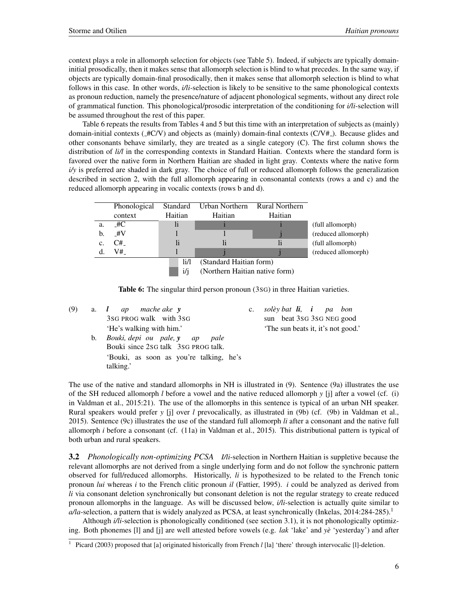context plays a role in allomorph selection for objects (see Table 5). Indeed, if subjects are typically domaininitial prosodically, then it makes sense that allomorph selection is blind to what precedes. In the same way, if objects are typically domain-final prosodically, then it makes sense that allomorph selection is blind to what follows in this case. In other words, *i/li-selection* is likely to be sensitive to the same phonological contexts as pronoun reduction, namely the presence/nature of adjacent phonological segments, without any direct role of grammatical function. This phonological/prosodic interpretation of the conditioning for *i/li*-selection will be assumed throughout the rest of this paper.

Table 6 repeats the results from Tables 4 and 5 but this time with an interpretation of subjects as (mainly) domain-initial contexts ( $\pm$ C/V) and objects as (mainly) domain-final contexts (C/V $\pm$ ). Because glides and other consonants behave similarly, they are treated as a single category (C). The first column shows the distribution of  $li/l$  in the corresponding contexts in Standard Haitian. Contexts where the standard form is favored over the native form in Northern Haitian are shaded in light gray. Contexts where the native form *i/y* is preferred are shaded in dark gray. The choice of full or reduced allomorph follows the generalization described in section 2, with the full allomorph appearing in consonantal contexts (rows a and c) and the reduced allomorph appearing in vocalic contexts (rows b and d).

|    | Phonological | Standard | Urban Northern<br><b>Rural Northern</b> |         |                     |  |  |
|----|--------------|----------|-----------------------------------------|---------|---------------------|--|--|
|    | context      | Haitian  | Haitian                                 | Haitian |                     |  |  |
| a. | _#C          | li       |                                         |         | (full allomorph)    |  |  |
| b. | #V           |          |                                         |         | (reduced allomorph) |  |  |
| c. | C#           | li       | li                                      | li      | (full allomorph)    |  |  |
|    | V#_          |          |                                         |         | (reduced allomorph) |  |  |
|    |              | li/l     | (Standard Haitian form)                 |         |                     |  |  |
|    |              | i/i      | (Northern Haitian native form)          |         |                     |  |  |



| (9) |    | a. <i>l ap mache ake</i> <b>v</b>       | $c_{\cdot}$ | solèy bat <b>li</b> , <b>i</b> pa bon |
|-----|----|-----------------------------------------|-------------|---------------------------------------|
|     |    | 3sG PROG walk with 3sG                  |             | sun beat 3sG 3sG NEG good             |
|     |    | 'He's walking with him.'                |             | 'The sun beats it, it's not good.'    |
|     | b. | Bouki, depi ou pale, y ap pale          |             |                                       |
|     |    | Bouki since 2sG talk 3sG PROG talk.     |             |                                       |
|     |    | 'Bouki, as soon as you're talking, he's |             |                                       |
|     |    | talking.'                               |             |                                       |

The use of the native and standard allomorphs in NH is illustrated in (9). Sentence (9a) illustrates the use of the SH reduced allomorph *l* before a vowel and the native reduced allomorph *y* [j] after a vowel (cf. (i) in Valdman et al., 2015:21). The use of the allomorphs in this sentence is typical of an urban NH speaker. Rural speakers would prefer *y* [j] over *l* prevocalically, as illustrated in (9b) (cf. (9b) in Valdman et al., 2015). Sentence (9c) illustrates the use of the standard full allomorph *li* after a consonant and the native full allomorph *i* before a consonant (cf. (11a) in Valdman et al., 2015). This distributional pattern is typical of both urban and rural speakers.

3.2 *Phonologically non-optimizing PCSA I/li*-selection in Northern Haitian is suppletive because the relevant allomorphs are not derived from a single underlying form and do not follow the synchronic pattern observed for full/reduced allomorphs. Historically, *li* is hypothesized to be related to the French tonic pronoun *lui* whereas *i* to the French clitic pronoun *il* (Fattier, 1995). *i* could be analyzed as derived from *li* via consonant deletion synchronically but consonant deletion is not the regular strategy to create reduced pronoun allomorphs in the language. As will be discussed below, *i/li*-selection is actually quite similar to  $a/a$ -selection, a pattern that is widely analyzed as PCSA, at least synchronically (Inkelas, 2014:284-285).<sup>1</sup>

Although *i/li*-selection is phonologically conditioned (see section 3.1), it is not phonologically optimizing. Both phonemes [l] and [j] are well attested before vowels (e.g. *lak* 'lake' and *ye`* 'yesterday') and after

<sup>&</sup>lt;sup>1</sup> Picard (2003) proposed that [a] originated historically from French *l* [la] 'there' through intervocalic [l]-deletion.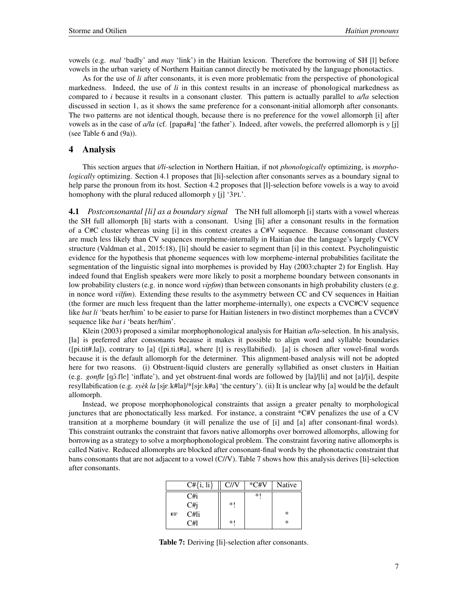vowels (e.g. *mal* 'badly' and *may* 'link') in the Haitian lexicon. Therefore the borrowing of SH [l] before vowels in the urban variety of Northern Haitian cannot directly be motivated by the language phonotactics.

As for the use of *li* after consonants, it is even more problematic from the perspective of phonological markedness. Indeed, the use of *li* in this context results in an increase of phonological markedness as compared to *i* because it results in a consonant cluster. This pattern is actually parallel to *a/la* selection discussed in section 1, as it shows the same preference for a consonant-initial allomorph after consonants. The two patterns are not identical though, because there is no preference for the vowel allomorph [i] after vowels as in the case of *a/la* (cf. [papa#a] 'the father'). Indeed, after vowels, the preferred allomorph is *y* [j] (see Table 6 and (9a)).

## 4 Analysis

This section argues that *i/li*-selection in Northern Haitian, if not *phonologically* optimizing, is *morphologically* optimizing. Section 4.1 proposes that [li]-selection after consonants serves as a boundary signal to help parse the pronoun from its host. Section 4.2 proposes that [l]-selection before vowels is a way to avoid homophony with the plural reduced allomorph *y* [j] '3PL'.

4.1 *Postconsonantal [li] as a boundary signal* The NH full allomorph [i] starts with a vowel whereas the SH full allomorph [li] starts with a consonant. Using [li] after a consonant results in the formation of a C#C cluster whereas using [i] in this context creates a C#V sequence. Because consonant clusters are much less likely than CV sequences morpheme-internally in Haitian due the language's largely CVCV structure (Valdman et al., 2015:18), [li] should be easier to segment than [i] in this context. Psycholinguistic evidence for the hypothesis that phoneme sequences with low morpheme-internal probabilities facilitate the segmentation of the linguistic signal into morphemes is provided by Hay (2003:chapter 2) for English. Hay indeed found that English speakers were more likely to posit a morpheme boundary between consonants in low probability clusters (e.g. in nonce word *vipfim*) than between consonants in high probability clusters (e.g. in nonce word *vilfim*). Extending these results to the asymmetry between CC and CV sequences in Haitian (the former are much less frequent than the latter morpheme-internally), one expects a CVC#CV sequence like *bat li* 'beats her/him' to be easier to parse for Haitian listeners in two distinct morphemes than a CVC#V sequence like *bat i* 'beats her/him'.

Klein (2003) proposed a similar morphophonological analysis for Haitian *a/la*-selection. In his analysis, [la] is preferred after consonants because it makes it possible to align word and syllable boundaries ([pi.tit#.la]), contrary to [a] ([pi.ti.t#a], where [t] is resyllabified). [a] is chosen after vowel-final words because it is the default allomorph for the determiner. This alignment-based analysis will not be adopted here for two reasons. (i) Obstruent-liquid clusters are generally syllabified as onset clusters in Haitian (e.g. *gonfle* [gɔ̃.fle] 'inflate'), and yet obstruent-final words are followed by  $\frac{1}{\ln}$  [la]/[li] and not  $\frac{1}{\ln}$ ], despite resyllabification (e.g. *syèk la* [sjɛ.k#la]/\*[sjɛ.k#a] 'the century'). (ii) It is unclear why [a] would be the default allomorph.

Instead, we propose morphophonological constraints that assign a greater penalty to morphological junctures that are phonoctatically less marked. For instance, a constraint \*C#V penalizes the use of a CV transition at a morpheme boundary (it will penalize the use of [i] and [a] after consonant-final words). This constraint outranks the constraint that favors native allomorphs over borrowed allomorphs, allowing for borrowing as a strategy to solve a morphophonological problem. The constraint favoring native allomorphs is called Native. Reduced allomorphs are blocked after consonant-final words by the phonotactic constraint that bans consonants that are not adjacent to a vowel (C//V). Table 7 shows how this analysis derives [li]-selection after consonants.

|     | $C\# \{i, li\}$ | C/IV | $*$ C#V | Native |
|-----|-----------------|------|---------|--------|
|     | C#i             |      | *1      |        |
|     | C#j             | $*1$ |         |        |
| rð. | C#li            |      |         | ∗      |
|     | C#l             | $*!$ |         | ∗      |

Table 7: Deriving [li]-selection after consonants.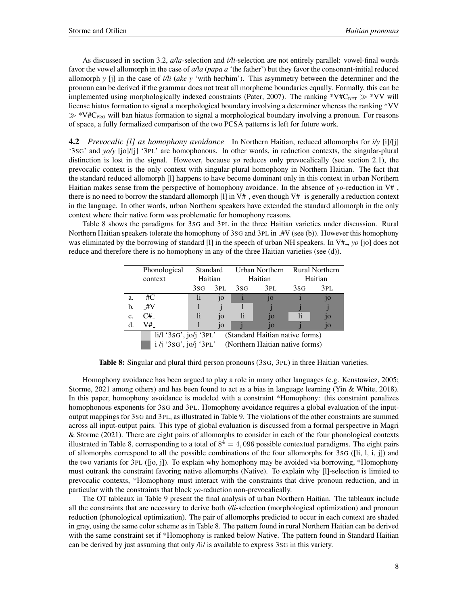As discussed in section 3.2, *a/la*-selection and *i/li*-selection are not entirely parallel: vowel-final words favor the vowel allomorph in the case of *a/la* (*papa a* 'the father') but they favor the consonant-initial reduced allomorph *y* [j] in the case of *i/li* (*ake y* 'with her/him'). This asymmetry between the determiner and the pronoun can be derived if the grammar does not treat all morpheme boundaries equally. Formally, this can be implemented using morphologically indexed constraints (Pater, 2007). The ranking \*V#C<sub>DET</sub>  $\gg$  \*VV will license hiatus formation to signal a morphological boundary involving a determiner whereas the ranking \*VV  $\gg$  \*V#C<sub>PRO</sub> will ban hiatus formation to signal a morphological boundary involving a pronoun. For reasons of space, a fully formalized comparison of the two PCSA patterns is left for future work.

4.2 *Prevocalic [l] as homophony avoidance* In Northern Haitian, reduced allomorphs for *i/y* [i]/[j] '3SG' and *yo/y* [jo]/[j] '3PL' are homophonous. In other words, in reduction contexts, the singular-plural distinction is lost in the signal. However, because *yo* reduces only prevocalically (see section 2.1), the prevocalic context is the only context with singular-plural homophony in Northern Haitian. The fact that the standard reduced allomorph [l] happens to have become dominant only in this context in urban Northern Haitian makes sense from the perspective of homophony avoidance. In the absence of  $y_0$ -reduction in V#<sub>-</sub>, there is no need to borrow the standard allomorph [1] in  $V#$ , even though  $V#$  is generally a reduction context in the language. In other words, urban Northern speakers have extended the standard allomorph in the only context where their native form was problematic for homophony reasons.

Table 8 shows the paradigms for 3SG and 3PL in the three Haitian varieties under discussion. Rural Northern Haitian speakers tolerate the homophony of 3sG and 3PL in  $\#V$  (see (b)). However this homophony was eliminated by the borrowing of standard [1] in the speech of urban NH speakers. In V#<sub>-</sub>, *yo* [jo] does not reduce and therefore there is no homophony in any of the three Haitian varieties (see (d)).

|    | Phonological                                                                                  | Standard |     | Urban Northern |     | <b>Rural Northern</b> |     |
|----|-----------------------------------------------------------------------------------------------|----------|-----|----------------|-----|-----------------------|-----|
|    | context                                                                                       | Haitian  |     | Haitian        |     | Haitian               |     |
|    |                                                                                               | 3sg      | 3PL | 3sG            | 3PL | 3sG                   | 3PL |
| a. | $\pm 4C$                                                                                      | li       | jo  |                | jo  |                       | jo  |
| b. | $\pm V$                                                                                       |          |     |                |     |                       |     |
| c. | $C#_{-}$                                                                                      | 1i       | 10  | li.            | 10  | li                    | jo  |
| d. | V#                                                                                            |          | 10  |                | 10  |                       | jo  |
|    | $\text{li}/\text{l}$ '3sG', $\text{j}$ o/ $\text{j}$ '3PL'<br>(Standard Haitian native forms) |          |     |                |     |                       |     |
|    | i /j '3sG', jo/j '3PL' (Northern Haitian native forms)                                        |          |     |                |     |                       |     |

Table 8: Singular and plural third person pronouns (3SG, 3PL) in three Haitian varieties.

Homophony avoidance has been argued to play a role in many other languages (e.g. Kenstowicz, 2005; Storme, 2021 among others) and has been found to act as a bias in language learning (Yin & White, 2018). In this paper, homophony avoidance is modeled with a constraint \*Homophony: this constraint penalizes homophonous exponents for 3SG and 3PL. Homophony avoidance requires a global evaluation of the inputoutput mappings for 3SG and 3PL, as illustrated in Table 9. The violations of the other constraints are summed across all input-output pairs. This type of global evaluation is discussed from a formal perspective in Magri & Storme (2021). There are eight pairs of allomorphs to consider in each of the four phonological contexts illustrated in Table 8, corresponding to a total of  $8^4 = 4,096$  possible contextual paradigms. The eight pairs of allomorphs correspond to all the possible combinations of the four allomorphs for 3SG ([li, l, i, j]) and the two variants for 3PL ([jo, j]). To explain why homophony may be avoided via borrowing, \*Homophony must outrank the constraint favoring native allomorphs (Native). To explain why [l]-selection is limited to prevocalic contexts, \*Homophony must interact with the constraints that drive pronoun reduction, and in particular with the constraints that block *yo*-reduction non-prevocalically.

The OT tableaux in Table 9 present the final analysis of urban Northern Haitian. The tableaux include all the constraints that are necessary to derive both *i/li*-selection (morphological optimization) and pronoun reduction (phonological optimization). The pair of allomorphs predicted to occur in each context are shaded in gray, using the same color scheme as in Table 8. The pattern found in rural Northern Haitian can be derived with the same constraint set if \*Homophony is ranked below Native. The pattern found in Standard Haitian can be derived by just assuming that only /li/ is available to express 3SG in this variety.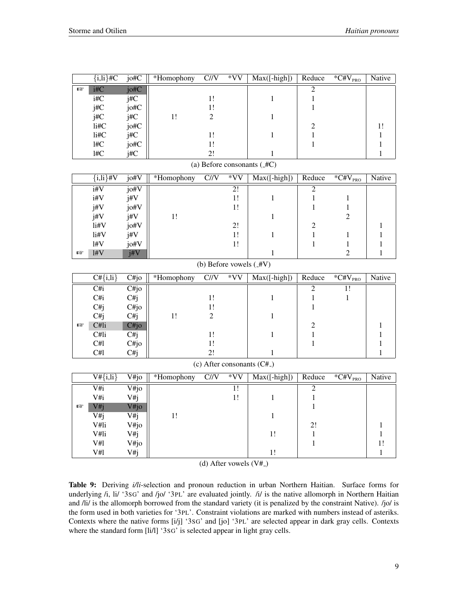|              | $\overline{\{i,\mathrm{li}\}\#C}$ | $j$ <sub>o</sub> # $\overline{C}$ | *Homophony | C/V                         | $*VV$           | $Max([-high])$                          | Reduce           | $\overline{{}^*\!C\#}V_{\text{PRO}}$ | Native                       |
|--------------|-----------------------------------|-----------------------------------|------------|-----------------------------|-----------------|-----------------------------------------|------------------|--------------------------------------|------------------------------|
| $\mathbb{R}$ | i#C                               | jo#C                              |            |                             |                 |                                         | $\overline{2}$   |                                      |                              |
|              | $i\#C$                            | $\overline{\text{j}\#C}$          |            | 1!                          |                 | $\mathbf{1}$                            | $\mathbf 1$      |                                      |                              |
|              | j#C                               | jo#C                              |            | 1!                          |                 |                                         | $\mathbf{1}$     |                                      |                              |
|              | j#C                               | j#C                               | 1!         | $\sqrt{2}$                  |                 | $\mathbf{1}$                            |                  |                                      |                              |
|              | li#C                              | jo#C                              |            |                             |                 |                                         | $\overline{c}$   |                                      | 1!                           |
|              | li#C                              | j#C                               |            | 1!                          |                 | $\mathbf{1}$                            | $\,1$            |                                      | $\mathbf{1}$                 |
|              | 1#C                               | jo#C                              |            | 1!                          |                 |                                         | $\mathbf{1}$     |                                      | $\mathbf{1}$                 |
|              | 1#C                               | j#C                               |            | 2!                          |                 | $\mathbf{1}$                            |                  |                                      | $\mathbf{1}$                 |
|              | (a) Before consonants (_#C)       |                                   |            |                             |                 |                                         |                  |                                      |                              |
|              | $\overline{\{i,\mathrm{li}\}\#V}$ | jot#V                             | *Homophony | C/V                         | $*VV$           | $Max([-high])$                          | Reduce           | $*$ C#V <sub>PRO</sub>               | <b>Native</b>                |
|              | i#V                               | $j$ <sub>0</sub> # $V$            |            |                             | $\overline{2!}$ |                                         | $\overline{2}$   |                                      |                              |
|              | i#V                               | $j\#V$                            |            |                             | 1!              | $\mathbf{1}$                            | $\mathbf{1}$     | $\mathbf{1}$                         |                              |
|              | j#V                               | jo#V                              |            |                             | 1!              |                                         | $\mathbf{1}$     | $\mathbf{1}$                         |                              |
|              | j#V                               | i#V                               | $1!$       |                             |                 | $\mathbf{1}$                            |                  | $\overline{2}$                       |                              |
|              | li#V                              | jo#V                              |            |                             | 2!              |                                         | $\boldsymbol{2}$ |                                      | 1                            |
|              | li#V                              | j#V                               |            |                             | 1!              | $\mathbf{1}$                            | $\,1$            | $\mathbf{1}$                         | $\mathbf{1}$                 |
|              | $1#V$                             | jo#V                              |            |                             | 1!              |                                         | $\mathbf{1}$     | $\mathbf{1}$                         | $\mathbf{1}$                 |
| 晊            | 1#V                               | j#V                               |            |                             |                 | $\mathbf{1}$                            |                  | $\overline{2}$                       | $\mathbf{1}$                 |
|              | (b) Before vowels (_#V)           |                                   |            |                             |                 |                                         |                  |                                      |                              |
|              | $C#{i,l}$                         | $\overline{C\#jo}$                | *Homophony | C/V                         | $*VV$           | $Max([-high])$                          | Reduce           | $*$ C#V <sub>PRO</sub>               | Native                       |
|              |                                   |                                   |            |                             |                 |                                         |                  |                                      |                              |
|              | $\overline{\text{C}}$ #i          | $\overline{C\#jo}$                |            |                             |                 |                                         | $\overline{2}$   | $\overline{1!}$                      |                              |
|              | C#i                               | C#j                               |            | 1!                          |                 | $\mathbf{1}$                            | $\mathbf{1}$     | $\mathbf{1}$                         |                              |
|              | C#j                               | C#jo                              |            | 1!                          |                 |                                         | $\mathbf{1}$     |                                      |                              |
|              | C#j                               | C#j                               | 1!         | $\sqrt{2}$                  |                 | $\mathbf{1}$                            |                  |                                      |                              |
| <b>IS</b>    | C#li                              | C#jo                              |            |                             |                 |                                         | $\overline{c}$   |                                      | 1                            |
|              | C#li<br>C#l                       | $\overline{C_{ij}}$               |            | 1!<br>1!                    |                 | $\mathbf{1}$                            | $\,1\,$          |                                      | $\mathbf{1}$                 |
|              |                                   | C#jo                              |            | 2!                          |                 |                                         | $\mathbf{1}$     |                                      | $\mathbf{1}$<br>$\mathbf{1}$ |
|              | C#l                               | C#j                               |            |                             |                 | 1                                       |                  |                                      |                              |
|              | (c) After consonants (C#_)        |                                   |            |                             |                 |                                         |                  |                                      |                              |
|              | $V#{i, li}$                       | V#jo                              | *Homophony | $\overline{C}/\overline{N}$ | $*_{VV}$        | $\overline{\text{Max}([\text{-high}])}$ | Reduce           | $\overline{C\#V}_{PRO}$              | Native                       |
|              | V#i                               | $\overline{V\#j\sigma}$           |            |                             | $\overline{1!}$ |                                         | $\overline{2}$   |                                      |                              |
|              | V#i                               | V#j                               |            |                             | 1!              | $\mathbf{1}$                            | $\mathbf{1}$     |                                      |                              |
| LS.          | V#j                               | V#jo                              |            |                             |                 |                                         | $\mathbf{1}$     |                                      |                              |
|              | V#j                               | V#j                               | 1!         |                             |                 | $\mathbf{1}$                            |                  |                                      |                              |
|              | V#li                              | V#jo                              |            |                             |                 |                                         | 2!               |                                      | $\mathbf{1}$                 |
|              | V#li                              | V#j                               |            |                             |                 | 1!                                      | $\,1\,$          |                                      | 1                            |
|              | V#l                               | V#jo                              |            |                             |                 |                                         | $\mathbf{1}$     |                                      | 1!                           |
|              | V#l                               | V#j                               |            |                             |                 | 1!                                      |                  |                                      | $\mathbf{1}$                 |

(d) After vowels  $(V#_{-})$ 

Table 9: Deriving *i/li*-selection and pronoun reduction in urban Northern Haitian. Surface forms for underlying /i, li/ '3sG' and /jo/ '3PL' are evaluated jointly. /i/ is the native allomorph in Northern Haitian and /li/ is the allomorph borrowed from the standard variety (it is penalized by the constraint Native). /jo/ is the form used in both varieties for '3PL'. Constraint violations are marked with numbers instead of asteriks. Contexts where the native forms [i/j] '3SG' and [jo] '3PL' are selected appear in dark gray cells. Contexts where the standard form [li/l] '3sG' is selected appear in light gray cells.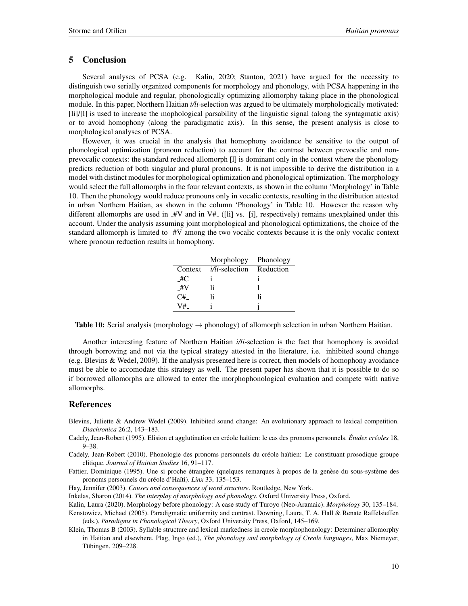## 5 Conclusion

Several analyses of PCSA (e.g. Kalin, 2020; Stanton, 2021) have argued for the necessity to distinguish two serially organized components for morphology and phonology, with PCSA happening in the morphological module and regular, phonologically optimizing allomorphy taking place in the phonological module. In this paper, Northern Haitian *i/li*-selection was argued to be ultimately morphologically motivated: [li]/[l] is used to increase the mophological parsability of the linguistic signal (along the syntagmatic axis) or to avoid homophony (along the paradigmatic axis). In this sense, the present analysis is close to morphological analyses of PCSA.

However, it was crucial in the analysis that homophony avoidance be sensitive to the output of phonological optimization (pronoun reduction) to account for the contrast between prevocalic and nonprevocalic contexts: the standard reduced allomorph [l] is dominant only in the context where the phonology predicts reduction of both singular and plural pronouns. It is not impossible to derive the distribution in a model with distinct modules for morphological optimization and phonological optimization. The morphology would select the full allomorphs in the four relevant contexts, as shown in the column 'Morphology' in Table 10. Then the phonology would reduce pronouns only in vocalic contexts, resulting in the distribution attested in urban Northern Haitian, as shown in the column 'Phonology' in Table 10. However the reason why different allomorphs are used in  $#V$  and in  $V#$  ([li] vs. [i], respectively) remains unexplained under this account. Under the analysis assuming joint morphological and phonological optimizations, the choice of the standard allomorph is limited to  $#V$  among the two vocalic contexts because it is the only vocalic context where pronoun reduction results in homophony.

|         | Morphology            | Phonology |
|---------|-----------------------|-----------|
| Context | <i>i/li-selection</i> | Reduction |
| #C      |                       |           |
| #V      | I۱                    |           |
| C#      | I۱                    | ١i        |
| V#      |                       |           |

**Table 10:** Serial analysis (morphology  $\rightarrow$  phonology) of allomorph selection in urban Northern Haitian.

Another interesting feature of Northern Haitian *i/li*-selection is the fact that homophony is avoided through borrowing and not via the typical strategy attested in the literature, i.e. inhibited sound change (e.g. Blevins & Wedel, 2009). If the analysis presented here is correct, then models of homophony avoidance must be able to accomodate this strategy as well. The present paper has shown that it is possible to do so if borrowed allomorphs are allowed to enter the morphophonological evaluation and compete with native allomorphs.

### References

- Blevins, Juliette & Andrew Wedel (2009). Inhibited sound change: An evolutionary approach to lexical competition. *Diachronica* 26:2, 143–183.
- Cadely, Jean-Robert (1995). Elision et agglutination en créole haïtien: le cas des pronoms personnels. Études créoles 18, 9–38.
- Cadely, Jean-Robert (2010). Phonologie des pronoms personnels du créole haïtien: Le constituant prosodique groupe clitique. *Journal of Haitian Studies* 16, 91–117.
- Fattier, Dominique (1995). Une si proche étrangère (quelques remarques à propos de la genèse du sous-système des pronoms personnels du créole d'Haïti). *Linx* 33, 135-153.
- Hay, Jennifer (2003). *Causes and consequences of word structure*. Routledge, New York.
- Inkelas, Sharon (2014). *The interplay of morphology and phonology*. Oxford University Press, Oxford.
- Kalin, Laura (2020). Morphology before phonology: A case study of Turoyo (Neo-Aramaic). *Morphology* 30, 135–184.
- Kenstowicz, Michael (2005). Paradigmatic uniformity and contrast. Downing, Laura, T. A. Hall & Renate Raffelsieffen (eds.), *Paradigms in Phonological Theory*, Oxford University Press, Oxford, 145–169.
- Klein, Thomas B (2003). Syllable structure and lexical markedness in creole morphophonology: Determiner allomorphy in Haitian and elsewhere. Plag, Ingo (ed.), *The phonology and morphology of Creole languages*, Max Niemeyer, Tübingen, 209-228.